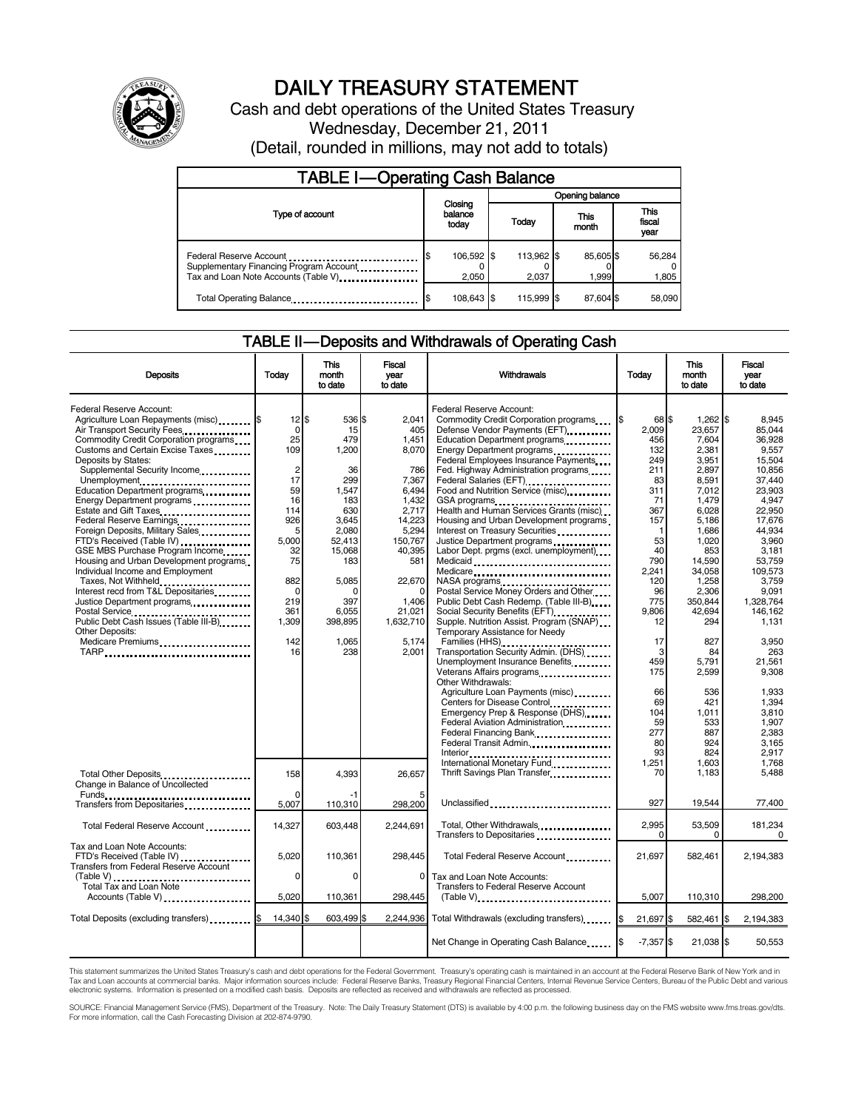

# DAILY TREASURY STATEMENT

Cash and debt operations of the United States Treasury Wednesday, December 21, 2011 (Detail, rounded in millions, may not add to totals)

| <b>TABLE I-Operating Cash Balance</b>                                                                       |                             |       |                 |                     |               |                    |  |                               |
|-------------------------------------------------------------------------------------------------------------|-----------------------------|-------|-----------------|---------------------|---------------|--------------------|--|-------------------------------|
|                                                                                                             | Closing<br>balance<br>today |       | Opening balance |                     |               |                    |  |                               |
| Type of account                                                                                             |                             |       |                 | Today               | This<br>month |                    |  | <b>This</b><br>fiscal<br>year |
| Federal Reserve Account<br>Supplementary Financing Program Account<br>Tax and Loan Note Accounts (Table V). | 106,592 \$                  | 2.050 |                 | 113,962 \$<br>2.037 |               | 85,605 \$<br>1.999 |  | 56,284<br>1,805               |
| Total Operating Balance                                                                                     | 108,643 \$                  |       |                 | 115.999 \$          |               | 87.604 \$          |  | 58,090                        |

### TABLE II — Deposits and Withdrawals of Operating Cash

| <b>Deposits</b>                                                                                                                                                                                          | Today                                               | <b>This</b><br>month<br>to date                    | <b>Fiscal</b><br>vear<br>to date                           | Withdrawals                                                                                                                                                                                                                                           | Todav                                               | <b>This</b><br>month<br>to date                             | Fiscal<br>vear<br>to date                                         |
|----------------------------------------------------------------------------------------------------------------------------------------------------------------------------------------------------------|-----------------------------------------------------|----------------------------------------------------|------------------------------------------------------------|-------------------------------------------------------------------------------------------------------------------------------------------------------------------------------------------------------------------------------------------------------|-----------------------------------------------------|-------------------------------------------------------------|-------------------------------------------------------------------|
| Federal Reserve Account:<br>Agriculture Loan Repayments (misc) \$<br>Air Transport Security Fees<br>Commodity Credit Corporation programs<br>Customs and Certain Excise Taxes<br>Deposits by States:     | $12$ \$<br>0<br>25<br>109                           | 536 \$<br>15<br>479<br>1,200                       | 2.041<br>405<br>1,451<br>8,070                             | Federal Reserve Account:<br>Commodity Credit Corporation programs<br>Defense Vendor Payments (EFT)<br>Education Department programs<br>Federal Employees Insurance Payments                                                                           | 68 \$<br>l\$<br>2.009<br>456<br>132<br>249          | $1,262$ \$<br>23,657<br>7,604<br>2,381<br>3,951             | 8.945<br>85.044<br>36,928<br>9,557<br>15,504                      |
| Supplemental Security Income<br>Unemployment<br>Education Department programs<br>Energy Department programs<br>Estate and Gift Taxes<br>Federal Reserve Earnings<br>Foreign Deposits, Military Sales     | $\overline{c}$<br>17<br>59<br>16<br>114<br>926<br>5 | 36<br>299<br>1,547<br>183<br>630<br>3,645<br>2,080 | 786<br>7,367<br>6.494<br>1,432<br>2,717<br>14,223<br>5,294 | Fed. Highway Administration programs<br>Federal Salaries (EFT)<br>Food and Nutrition Service (misc)<br>GSA programs<br>Health and Human Services Grants (misc)<br>Housing and Urban Development programs<br>Interest on Treasury Securities           | 211<br>83<br>311<br>71<br>367<br>157<br>$\mathbf 1$ | 2.897<br>8,591<br>7,012<br>1,479<br>6,028<br>5,186<br>1,686 | 10.856<br>37,440<br>23.903<br>4,947<br>22,950<br>17,676<br>44.934 |
| FTD's Received (Table IV)<br>GSE MBS Purchase Program Income<br>Housing and Urban Development programs<br>Individual Income and Employment<br>Taxes, Not Withheld<br>Interest recd from T&L Depositaries | 5,000<br>32<br>75<br>882<br>$\Omega$                | 52,413<br>15,068<br>183<br>5,085<br>$\Omega$       | 150,767<br>40,395<br>581<br>22,670                         | Justice Department programs<br>Labor Dept. prgms (excl. unemployment)<br>Medicaid<br>Medicare<br>NASA programs<br>Postal Service Money Orders and Other                                                                                               | 53<br>40<br>790<br>2,241<br>120<br>96               | 1,020<br>853<br>14.590<br>34,058<br>1,258<br>2,306          | 3,960<br>3.181<br>53.759<br>109,573<br>3,759<br>9,091             |
| Justice Department programs<br>Postal Service<br>Public Debt Cash Issues (Table III-B)<br>The Library of Table III-B)<br>Other Deposits:<br>Medicare Premiums<br>TARP                                    | 219<br>361<br>1,309<br>142<br>16                    | 397<br>6.055<br>398,895<br>1,065<br>238            | 1,406<br>21.021<br>1,632,710<br>5,174<br>2,001             | Public Debt Cash Redemp. (Table III-B)<br>Social Security Benefits (EFT)<br>Supple. Nutrition Assist. Program (SNAP)<br>Temporary Assistance for Needy<br>Families (HHS)<br>Transportation Security Admin. (DHS)                                      | 775<br>9.806<br>12<br>17<br>3                       | 350,844<br>42.694<br>294<br>827<br>84                       | 1.328.764<br>146.162<br>1.131<br>3,950<br>263                     |
|                                                                                                                                                                                                          |                                                     |                                                    |                                                            | Unemployment Insurance Benefits<br>Veterans Affairs programs<br>Other Withdrawals:<br>Agriculture Loan Payments (misc)<br>Centers for Disease Control<br>Emergency Prep & Response (DHS)<br>Federal Aviation Administration<br>Federal Financing Bank | 459<br>175<br>66<br>69<br>104<br>59<br>277          | 5,791<br>2,599<br>536<br>421<br>1,011<br>533<br>887         | 21,561<br>9,308<br>1.933<br>1.394<br>3,810<br>1,907<br>2,383      |
| Total Other Deposits                                                                                                                                                                                     | 158                                                 | 4,393                                              | 26.657                                                     | Federal Transit Admin.<br>International Monetary Fund<br>Thrift Savings Plan Transfer                                                                                                                                                                 | 80<br>93<br>1.251<br>70                             | 924<br>824<br>1.603<br>1,183                                | 3,165<br>2.917<br>1.768<br>5,488                                  |
| Change in Balance of Uncollected<br>Funds<br>Transfers from Depositaries                                                                                                                                 | $\Omega$<br>5,007                                   | $-1$<br>110,310                                    | 298,200                                                    | Unclassified                                                                                                                                                                                                                                          | 927                                                 | 19,544                                                      | 77,400                                                            |
| Total Federal Reserve Account                                                                                                                                                                            | 14,327                                              | 603,448                                            | 2.244.691                                                  | Total, Other Withdrawals<br>Transfers to Depositaries                                                                                                                                                                                                 | 2,995<br>$\Omega$                                   | 53,509<br>0                                                 | 181,234<br>$\Omega$                                               |
| Tax and Loan Note Accounts:<br>FTD's Received (Table IV)<br>Transfers from Federal Reserve Account                                                                                                       | 5.020                                               | 110.361                                            | 298.445                                                    | Total Federal Reserve Account                                                                                                                                                                                                                         | 21.697                                              | 582.461                                                     | 2,194,383                                                         |
| Total Tax and Loan Note<br>Accounts (Table V)                                                                                                                                                            | 0<br>5,020                                          | 0<br>110,361                                       | $\Omega$<br>298,445                                        | Tax and Loan Note Accounts:<br><b>Transfers to Federal Reserve Account</b><br>$(Table V)$ , $\ldots$ , $\ldots$ , $\ldots$ , $\ldots$ , $\ldots$ , $\ldots$ , $\ldots$ , $\ldots$ , $\ldots$                                                          | 5,007                                               | 110,310                                                     | 298,200                                                           |
| Total Deposits (excluding transfers)                                                                                                                                                                     | 14.340 \$                                           | 603.499 \$                                         | 2.244.936                                                  | Total Withdrawals (excluding transfers) [\$                                                                                                                                                                                                           | 21,697 \$                                           | 582,461 \$                                                  | 2,194,383                                                         |
|                                                                                                                                                                                                          |                                                     |                                                    |                                                            | Net Change in Operating Cash Balance                                                                                                                                                                                                                  | $-7,357$ \$                                         | 21,038 \$                                                   | 50,553                                                            |

This statement summarizes the United States Treasury's cash and debt operations for the Federal Government. Treasury's operating cash is maintained in an account at the Federal Reserve Bank of New York and in<br>Tax and Loan

SOURCE: Financial Management Service (FMS), Department of the Treasury. Note: The Daily Treasury Statement (DTS) is available by 4:00 p.m. the following business day on the FMS website www.fms.treas.gov/dts.<br>For more infor